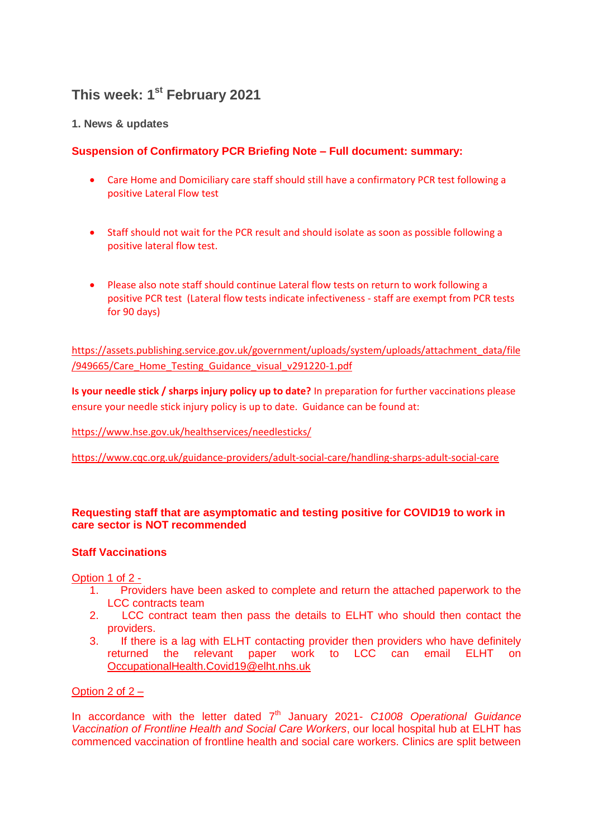# **This week: 1 st February 2021**

# **1. News & updates**

# **Suspension of Confirmatory PCR Briefing Note – Full document: summary:**

- Care Home and Domiciliary care staff should still have a confirmatory PCR test following a positive Lateral Flow test
- Staff should not wait for the PCR result and should isolate as soon as possible following a positive lateral flow test.
- Please also note staff should continue Lateral flow tests on return to work following a positive PCR test (Lateral flow tests indicate infectiveness - staff are exempt from PCR tests for 90 days)

[https://assets.publishing.service.gov.uk/government/uploads/system/uploads/attachment\\_data/file](https://assets.publishing.service.gov.uk/government/uploads/system/uploads/attachment_data/file/949665/Care_Home_Testing_Guidance_visual_v291220-1.pdf) [/949665/Care\\_Home\\_Testing\\_Guidance\\_visual\\_v291220-1.pdf](https://assets.publishing.service.gov.uk/government/uploads/system/uploads/attachment_data/file/949665/Care_Home_Testing_Guidance_visual_v291220-1.pdf)

**Is your needle stick / sharps injury policy up to date?** In preparation for further vaccinations please ensure your needle stick injury policy is up to date. Guidance can be found at:

<https://www.hse.gov.uk/healthservices/needlesticks/>

<https://www.cqc.org.uk/guidance-providers/adult-social-care/handling-sharps-adult-social-care>

## **Requesting staff that are asymptomatic and testing positive for COVID19 to work in care sector is NOT recommended**

## **Staff Vaccinations**

Option 1 of 2 -

- 1. Providers have been asked to complete and return the attached paperwork to the LCC contracts team
- 2. LCC contract team then pass the details to ELHT who should then contact the providers.
- 3. If there is a lag with ELHT contacting provider then providers who have definitely returned the relevant paper work to LCC can email ELHT on [OccupationalHealth.Covid19@elht.nhs.uk](mailto:OccupationalHealth.Covid19@elht.nhs.uk)

## Option 2 of 2 –

In accordance with the letter dated 7<sup>th</sup> January 2021- *C1008 Operational Guidance Vaccination of Frontline Health and Social Care Workers*, our local hospital hub at ELHT has commenced vaccination of frontline health and social care workers. Clinics are split between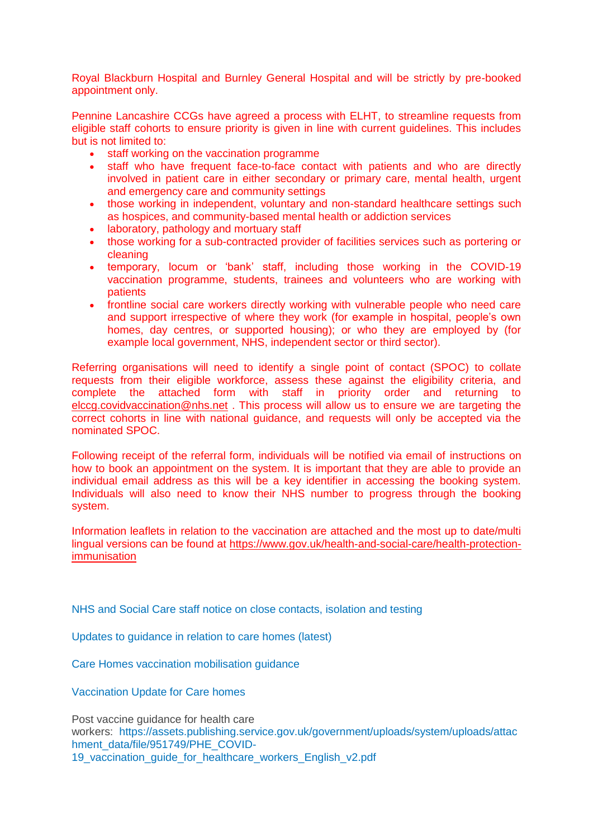Royal Blackburn Hospital and Burnley General Hospital and will be strictly by pre-booked appointment only.

Pennine Lancashire CCGs have agreed a process with ELHT, to streamline requests from eligible staff cohorts to ensure priority is given in line with current guidelines. This includes but is not limited to:

- staff working on the vaccination programme
- staff who have frequent face-to-face contact with patients and who are directly involved in patient care in either secondary or primary care, mental health, urgent and emergency care and community settings
- those working in independent, voluntary and non-standard healthcare settings such as hospices, and community-based mental health or addiction services
- laboratory, pathology and mortuary staff
- those working for a sub-contracted provider of facilities services such as portering or cleaning
- temporary, locum or 'bank' staff, including those working in the COVID-19 vaccination programme, students, trainees and volunteers who are working with patients
- frontline social care workers directly working with vulnerable people who need care and support irrespective of where they work (for example in hospital, people's own homes, day centres, or supported housing); or who they are employed by (for example local government, NHS, independent sector or third sector).

Referring organisations will need to identify a single point of contact (SPOC) to collate requests from their eligible workforce, assess these against the eligibility criteria, and complete the attached form with staff in priority order and returning to [elccg.covidvaccination@nhs.net](mailto:elccg.covidvaccination@nhs.net) . This process will allow us to ensure we are targeting the correct cohorts in line with national guidance, and requests will only be accepted via the nominated SPOC.

Following receipt of the referral form, individuals will be notified via email of instructions on how to book an appointment on the system. It is important that they are able to provide an individual email address as this will be a key identifier in accessing the booking system. Individuals will also need to know their NHS number to progress through the booking system.

Information leaflets in relation to the vaccination are attached and the most up to date/multi lingual versions can be found at [https://www.gov.uk/health-and-social-care/health-protection](https://www.gov.uk/health-and-social-care/health-protection-immunisation)[immunisation](https://www.gov.uk/health-and-social-care/health-protection-immunisation)

[NHS and Social Care staff notice on close contacts, isolation and testing](https://eastlancsccg.nhs.uk/images/RegulatedCareSector/Staff_notice_guide_to_close_contacts_self-isolation_and_testing_version_12_130121.pdf)

[Updates to guidance in relation to care homes \(latest\)](https://eastlancsccg.nhs.uk/images/Updates_to_guidance_in_relation_to_care_homes_this_week_wc_18th_January_2021.pdf)

[Care Homes vaccination mobilisation guidance](https://eastlancsccg.nhs.uk/images/Care_Home_Vaccination_Mobilisation_support_pack_version_2_8_January_2021pdf.pdf)

[Vaccination Update for Care homes](https://eastlancsccg.nhs.uk/images/Care_Homes_Covid_Vaccination_update.pdf)

Post vaccine guidance for health care workers: [https://assets.publishing.service.gov.uk/government/uploads/system/uploads/attac](https://assets.publishing.service.gov.uk/government/uploads/system/uploads/attachment_data/file/951749/PHE_COVID-19_vaccination_guide_for_healthcare_workers_English_v2.pdf) [hment\\_data/file/951749/PHE\\_COVID-](https://assets.publishing.service.gov.uk/government/uploads/system/uploads/attachment_data/file/951749/PHE_COVID-19_vaccination_guide_for_healthcare_workers_English_v2.pdf)19 vaccination quide for healthcare workers English v2.pdf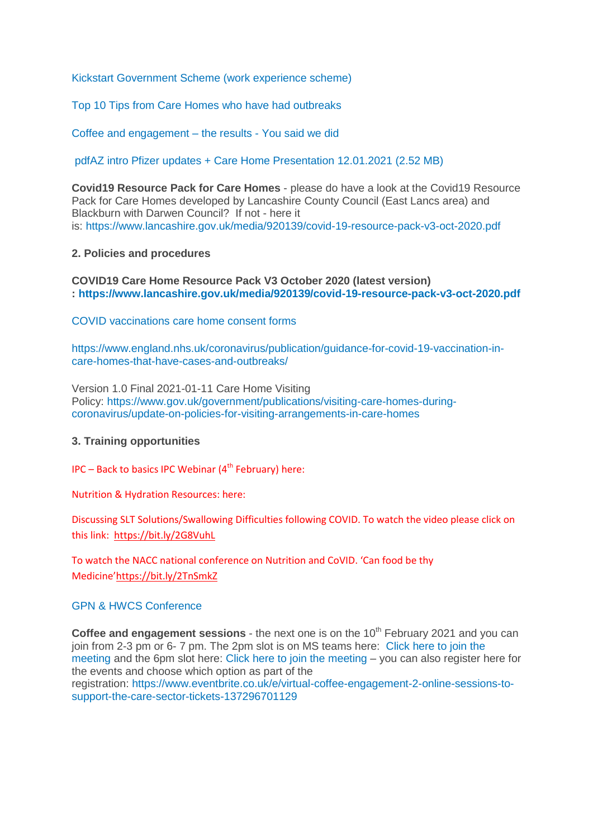[Kickstart Government Scheme \(work experience scheme\)](https://eastlancsccg.nhs.uk/images/Kickstart_programme.pdf)

[Top 10 Tips from Care Homes who have had outbreaks](https://eastlancsccg.nhs.uk/images/RegulatedCareSector/Top_ten_tips.docx)

[Coffee and engagement –](https://eastlancsccg.nhs.uk/images/RegulatedCareSector/You_said_We_did_from_December_and_October_Coffee_engagement_evenings.pdf) the results - You said we did

[pdfAZ intro Pfizer updates + Care Home Presentation 12.01.2021](https://eastlancsccg.nhs.uk/contact-us/freedom-of-information/disclosure-logs/publications/2729-az-intro-pfizer-updates-care-home-presentation-12-01-2021) (2.52 MB)

**Covid19 Resource Pack for Care Homes** - please do have a look at the Covid19 Resource Pack for Care Homes developed by Lancashire County Council (East Lancs area) and Blackburn with Darwen Council? If not - here it is: <https://www.lancashire.gov.uk/media/920139/covid-19-resource-pack-v3-oct-2020.pdf>

#### **2. Policies and procedures**

#### **COVID19 Care Home Resource Pack V3 October 2020 (latest version) : <https://www.lancashire.gov.uk/media/920139/covid-19-resource-pack-v3-oct-2020.pdf>**

[COVID vaccinations care home consent forms](https://eastlancsccg.nhs.uk/images/RegulatedCareSector/20201208_ICS_CH_CvdVacConsentForm_v1_FINAL.PDF)

[https://www.england.nhs.uk/coronavirus/publication/guidance-for-covid-19-vaccination-in](https://www.england.nhs.uk/coronavirus/publication/guidance-for-covid-19-vaccination-in-care-homes-that-have-cases-and-outbreaks/)[care-homes-that-have-cases-and-outbreaks/](https://www.england.nhs.uk/coronavirus/publication/guidance-for-covid-19-vaccination-in-care-homes-that-have-cases-and-outbreaks/)

Version 1.0 Final 2021-01-11 Care Home Visiting Policy: [https://www.gov.uk/government/publications/visiting-care-homes-during](https://www.gov.uk/government/publications/visiting-care-homes-during-coronavirus/update-on-policies-for-visiting-arrangements-in-care-homes)[coronavirus/update-on-policies-for-visiting-arrangements-in-care-homes](https://www.gov.uk/government/publications/visiting-care-homes-during-coronavirus/update-on-policies-for-visiting-arrangements-in-care-homes)

#### **3. Training opportunities**

 $IPC - Back$  to basics IPC Webinar (4<sup>th</sup> February) here:

Nutrition & Hydration Resources: here:

Discussing SLT Solutions/Swallowing Difficulties following COVID. To watch the video please click on this link: <https://bit.ly/2G8VuhL>

To watch the NACC national conference on Nutrition and CoVID. 'Can food be thy Medicine'<https://bit.ly/2TnSmkZ>

#### [GPN & HWCS Conference](https://eastlancsccg.nhs.uk/images/RegulatedCareSector/GPN_and_HCSW_Conference_2021.pdf)

**Coffee and engagement sessions** - the next one is on the 10<sup>th</sup> February 2021 and you can join from 2-3 pm or 6- 7 pm. The 2pm slot is on MS teams here: [Click here to join the](https://teams.microsoft.com/l/meetup-join/19%3ameeting_NjkxOTI3M2MtMzdlNC00MDliLWFhMjgtZmZiZjMzZGI5OTkw%40thread.v2/0?context=%7b%22Tid%22%3a%2237c354b2-85b0-47f5-b222-07b48d774ee3%22%2c%22Oid%22%3a%22a2ec35af-1c40-4f8f-8903-a088b26ed2a2%22%7d)  [meeting](https://teams.microsoft.com/l/meetup-join/19%3ameeting_NjkxOTI3M2MtMzdlNC00MDliLWFhMjgtZmZiZjMzZGI5OTkw%40thread.v2/0?context=%7b%22Tid%22%3a%2237c354b2-85b0-47f5-b222-07b48d774ee3%22%2c%22Oid%22%3a%22a2ec35af-1c40-4f8f-8903-a088b26ed2a2%22%7d) and the 6pm slot here: [Click here to join the meeting](https://teams.microsoft.com/l/meetup-join/19%3ameeting_MGQ4N2Y3ZmItYmJhNS00ZTFlLWEwMGYtZjA3NDA4ZTQ0YzNj%40thread.v2/0?context=%7b%22Tid%22%3a%2237c354b2-85b0-47f5-b222-07b48d774ee3%22%2c%22Oid%22%3a%22a2ec35af-1c40-4f8f-8903-a088b26ed2a2%22%7d) – you can also register here for the events and choose which option as part of the registration: [https://www.eventbrite.co.uk/e/virtual-coffee-engagement-2-online-sessions-to](https://www.eventbrite.co.uk/e/virtual-coffee-engagement-2-online-sessions-to-support-the-care-sector-tickets-137296701129)[support-the-care-sector-tickets-137296701129](https://www.eventbrite.co.uk/e/virtual-coffee-engagement-2-online-sessions-to-support-the-care-sector-tickets-137296701129)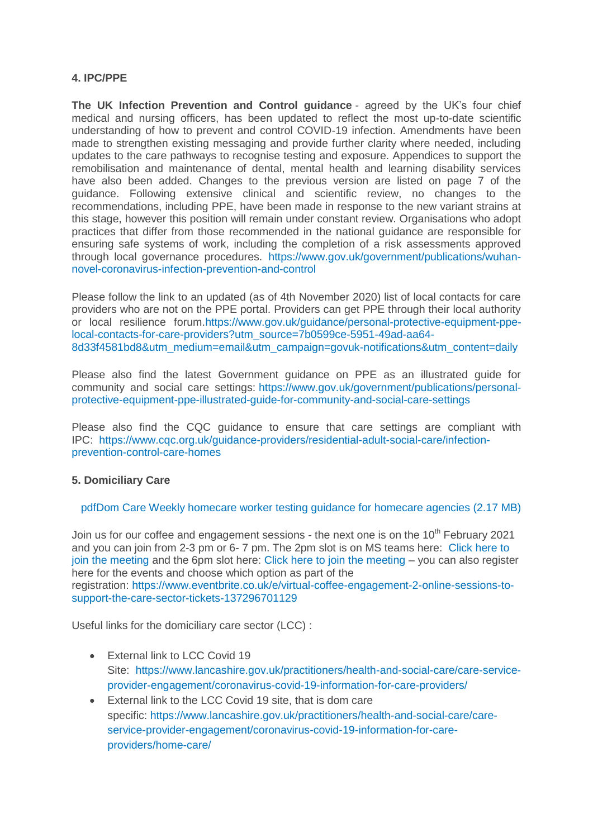## **4. IPC/PPE**

**The UK Infection Prevention and Control guidance** - agreed by the UK's four chief medical and nursing officers, has been updated to reflect the most up-to-date scientific understanding of how to prevent and control COVID-19 infection. Amendments have been made to strengthen existing messaging and provide further clarity where needed, including updates to the care pathways to recognise testing and exposure. Appendices to support the remobilisation and maintenance of dental, mental health and learning disability services have also been added. Changes to the previous version are listed on page 7 of the guidance. Following extensive clinical and scientific review, no changes to the recommendations, including PPE, have been made in response to the new variant strains at this stage, however this position will remain under constant review. Organisations who adopt practices that differ from those recommended in the national guidance are responsible for ensuring safe systems of work, including the completion of a risk assessments approved through local governance procedures. [https://www.gov.uk/government/publications/wuhan](https://www.gov.uk/government/publications/wuhan-novel-coronavirus-infection-prevention-and-control)[novel-coronavirus-infection-prevention-and-control](https://www.gov.uk/government/publications/wuhan-novel-coronavirus-infection-prevention-and-control) 

Please follow the link to an updated (as of 4th November 2020) list of local contacts for care providers who are not on the PPE portal. Providers can get PPE through their local authority or local resilience forum[.https://www.gov.uk/guidance/personal-protective-equipment-ppe](https://www.gov.uk/guidance/personal-protective-equipment-ppe-local-contacts-for-care-providers?utm_source=7b0599ce-5951-49ad-aa64-8d33f4581bd8&utm_medium=email&utm_campaign=govuk-notifications&utm_content=daily)[local-contacts-for-care-providers?utm\\_source=7b0599ce-5951-49ad-aa64-](https://www.gov.uk/guidance/personal-protective-equipment-ppe-local-contacts-for-care-providers?utm_source=7b0599ce-5951-49ad-aa64-8d33f4581bd8&utm_medium=email&utm_campaign=govuk-notifications&utm_content=daily) [8d33f4581bd8&utm\\_medium=email&utm\\_campaign=govuk-notifications&utm\\_content=daily](https://www.gov.uk/guidance/personal-protective-equipment-ppe-local-contacts-for-care-providers?utm_source=7b0599ce-5951-49ad-aa64-8d33f4581bd8&utm_medium=email&utm_campaign=govuk-notifications&utm_content=daily)

Please also find the latest Government guidance on PPE as an illustrated guide for community and social care settings: [https://www.gov.uk/government/publications/personal](https://www.gov.uk/government/publications/personal-protective-equipment-ppe-illustrated-guide-for-community-and-social-care-settings)[protective-equipment-ppe-illustrated-guide-for-community-and-social-care-settings](https://www.gov.uk/government/publications/personal-protective-equipment-ppe-illustrated-guide-for-community-and-social-care-settings)

Please also find the CQC guidance to ensure that care settings are compliant with IPC: [https://www.cqc.org.uk/guidance-providers/residential-adult-social-care/infection](https://www.cqc.org.uk/guidance-providers/residential-adult-social-care/infection-prevention-control-care-homes)[prevention-control-care-homes](https://www.cqc.org.uk/guidance-providers/residential-adult-social-care/infection-prevention-control-care-homes)

## **5. Domiciliary Care**

 [pdfDom Care Weekly homecare worker testing guidance for homecare agencies](https://eastlancsccg.nhs.uk/contact-us/freedom-of-information/disclosure-logs/publications/2730-dom-care-weekly-homecare-worker-testing-guidance-for-homecare-agencies) (2.17 MB)

Join us for our coffee and engagement sessions - the next one is on the  $10<sup>th</sup>$  February 2021 and you can join from 2-3 pm or 6- 7 pm. The 2pm slot is on MS teams here: [Click here to](https://teams.microsoft.com/l/meetup-join/19%3ameeting_NjkxOTI3M2MtMzdlNC00MDliLWFhMjgtZmZiZjMzZGI5OTkw%40thread.v2/0?context=%7b%22Tid%22%3a%2237c354b2-85b0-47f5-b222-07b48d774ee3%22%2c%22Oid%22%3a%22a2ec35af-1c40-4f8f-8903-a088b26ed2a2%22%7d)  [join the meeting](https://teams.microsoft.com/l/meetup-join/19%3ameeting_NjkxOTI3M2MtMzdlNC00MDliLWFhMjgtZmZiZjMzZGI5OTkw%40thread.v2/0?context=%7b%22Tid%22%3a%2237c354b2-85b0-47f5-b222-07b48d774ee3%22%2c%22Oid%22%3a%22a2ec35af-1c40-4f8f-8903-a088b26ed2a2%22%7d) and the 6pm slot here: [Click here to join the meeting](https://teams.microsoft.com/l/meetup-join/19%3ameeting_MGQ4N2Y3ZmItYmJhNS00ZTFlLWEwMGYtZjA3NDA4ZTQ0YzNj%40thread.v2/0?context=%7b%22Tid%22%3a%2237c354b2-85b0-47f5-b222-07b48d774ee3%22%2c%22Oid%22%3a%22a2ec35af-1c40-4f8f-8903-a088b26ed2a2%22%7d) – you can also register here for the events and choose which option as part of the

registration: [https://www.eventbrite.co.uk/e/virtual-coffee-engagement-2-online-sessions-to](https://www.eventbrite.co.uk/e/virtual-coffee-engagement-2-online-sessions-to-support-the-care-sector-tickets-137296701129)[support-the-care-sector-tickets-137296701129](https://www.eventbrite.co.uk/e/virtual-coffee-engagement-2-online-sessions-to-support-the-care-sector-tickets-137296701129)

Useful links for the domiciliary care sector (LCC) :

- **External link to LCC Covid 19** Site: [https://www.lancashire.gov.uk/practitioners/health-and-social-care/care-service](https://www.lancashire.gov.uk/practitioners/health-and-social-care/care-service-provider-engagement/coronavirus-covid-19-information-for-care-providers/)[provider-engagement/coronavirus-covid-19-information-for-care-providers/](https://www.lancashire.gov.uk/practitioners/health-and-social-care/care-service-provider-engagement/coronavirus-covid-19-information-for-care-providers/)
- External link to the LCC Covid 19 site, that is dom care specific: [https://www.lancashire.gov.uk/practitioners/health-and-social-care/care](https://www.lancashire.gov.uk/practitioners/health-and-social-care/care-service-provider-engagement/coronavirus-covid-19-information-for-care-providers/home-care/)[service-provider-engagement/coronavirus-covid-19-information-for-care](https://www.lancashire.gov.uk/practitioners/health-and-social-care/care-service-provider-engagement/coronavirus-covid-19-information-for-care-providers/home-care/)[providers/home-care/](https://www.lancashire.gov.uk/practitioners/health-and-social-care/care-service-provider-engagement/coronavirus-covid-19-information-for-care-providers/home-care/)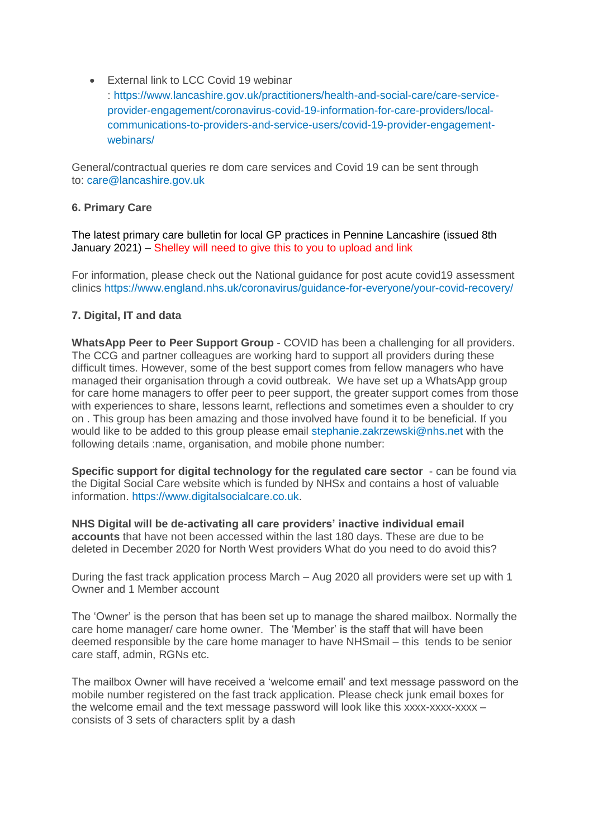External link to LCC Covid 19 webinar

: [https://www.lancashire.gov.uk/practitioners/health-and-social-care/care-service](https://www.lancashire.gov.uk/practitioners/health-and-social-care/care-service-provider-engagement/coronavirus-covid-19-information-for-care-providers/local-communications-to-providers-and-service-users/covid-19-provider-engagement-webinars/)[provider-engagement/coronavirus-covid-19-information-for-care-providers/local](https://www.lancashire.gov.uk/practitioners/health-and-social-care/care-service-provider-engagement/coronavirus-covid-19-information-for-care-providers/local-communications-to-providers-and-service-users/covid-19-provider-engagement-webinars/)[communications-to-providers-and-service-users/covid-19-provider-engagement](https://www.lancashire.gov.uk/practitioners/health-and-social-care/care-service-provider-engagement/coronavirus-covid-19-information-for-care-providers/local-communications-to-providers-and-service-users/covid-19-provider-engagement-webinars/)[webinars/](https://www.lancashire.gov.uk/practitioners/health-and-social-care/care-service-provider-engagement/coronavirus-covid-19-information-for-care-providers/local-communications-to-providers-and-service-users/covid-19-provider-engagement-webinars/)

General/contractual queries re dom care services and Covid 19 can be sent through to: [care@lancashire.gov.uk](mailto:care@lancashire.gov.uk)

## **6. Primary Care**

[The latest primary care bulletin for local GP practices in Pennine Lancashire \(issued 8th](https://eastlancsccg.nhs.uk/images/20210125_Primary_Care_Briefing_from_Dr_M_Dziobon_No_160_approved_for_circulation.pdf)  [January 2021\)](https://eastlancsccg.nhs.uk/images/20210125_Primary_Care_Briefing_from_Dr_M_Dziobon_No_160_approved_for_circulation.pdf) – Shelley will need to give this to you to upload and link

For information, please check out the National guidance for post acute covid19 assessment clinics <https://www.england.nhs.uk/coronavirus/guidance-for-everyone/your-covid-recovery/>

# **7. Digital, IT and data**

**WhatsApp Peer to Peer Support Group** - COVID has been a challenging for all providers. The CCG and partner colleagues are working hard to support all providers during these difficult times. However, some of the best support comes from fellow managers who have managed their organisation through a covid outbreak. We have set up a WhatsApp group for care home managers to offer peer to peer support, the greater support comes from those with experiences to share, lessons learnt, reflections and sometimes even a shoulder to cry on . This group has been amazing and those involved have found it to be beneficial. If you would like to be added to this group please email [stephanie.zakrzewski@nhs.net](mailto:stephanie.zakrzewski@nhs.net) with the following details :name, organisation, and mobile phone number:

**Specific support for digital technology for the regulated care sector** - can be found via the Digital Social Care website which is funded by NHSx and contains a host of valuable information. [https://www.digitalsocialcare.co.uk.](https://www.digitalsocialcare.co.uk/)

**NHS Digital will be de-activating all care providers' inactive individual email accounts** that have not been accessed within the last 180 days. These are due to be deleted in December 2020 for North West providers What do you need to do avoid this?

During the fast track application process March – Aug 2020 all providers were set up with 1 Owner and 1 Member account

The 'Owner' is the person that has been set up to manage the shared mailbox. Normally the care home manager/ care home owner. The 'Member' is the staff that will have been deemed responsible by the care home manager to have NHSmail – this tends to be senior care staff, admin, RGNs etc.

The mailbox Owner will have received a 'welcome email' and text message password on the mobile number registered on the fast track application. Please check junk email boxes for the welcome email and the text message password will look like this xxxx-xxxx-xxxx – consists of 3 sets of characters split by a dash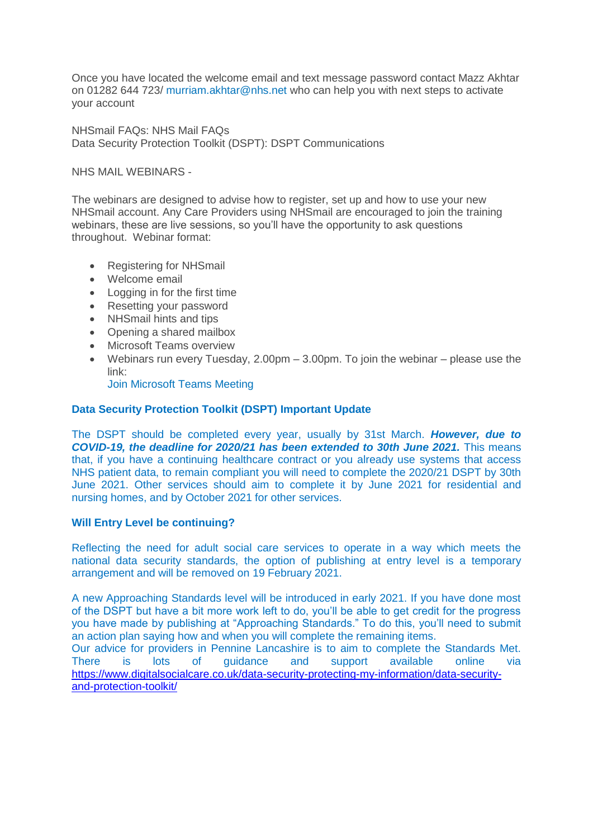Once you have located the welcome email and text message password contact Mazz Akhtar on 01282 644 723/ [murriam.akhtar@nhs.net](mailto:murriam.akhtar@nhs.net) who can help you with next steps to activate your account

NHSmail FAQs: NHS Mail FAQs Data Security Protection Toolkit (DSPT): DSPT Communications

NHS MAIL WEBINARS -

The webinars are designed to advise how to register, set up and how to use your new NHSmail account. Any Care Providers using NHSmail are encouraged to join the training webinars, these are live sessions, so you'll have the opportunity to ask questions throughout. Webinar format:

- Registering for NHSmail
- Welcome email
- Logging in for the first time
- Resetting your password
- NHSmail hints and tips
- Opening a shared mailbox
- Microsoft Teams overview
- Webinars run every Tuesday,  $2.00 \text{pm} 3.00 \text{pm}$ . To join the webinar please use the link:

[Join Microsoft Teams Meeting](https://teams.microsoft.com/l/meetup-join/19%3ameeting_ZGQ1MTkzMDAtZjU4OS00MDhhLWE1ZDgtNmUxNjIyNjcyYmZi%40thread.v2/0?context=%7b%22Tid%22%3a%2203159e92-72c6-4b23-a64a-af50e790adbf%22%2c%22Oid%22%3a%22cc4ef5b2-82a3-43ca-8a81-da50f393d1c8%22%7d)

#### **Data Security Protection Toolkit (DSPT) Important Update**

The DSPT should be completed every year, usually by 31st March. *However, due to COVID-19, the deadline for 2020/21 has been extended to 30th June 2021.* This means that, if you have a continuing healthcare contract or you already use systems that access NHS patient data, to remain compliant you will need to complete the 2020/21 DSPT by 30th June 2021. Other services should aim to complete it by June 2021 for residential and nursing homes, and by October 2021 for other services.

#### **Will Entry Level be continuing?**

Reflecting the need for adult social care services to operate in a way which meets the national data security standards, the option of publishing at entry level is a temporary arrangement and will be removed on 19 February 2021.

A new Approaching Standards level will be introduced in early 2021. If you have done most of the DSPT but have a bit more work left to do, you'll be able to get credit for the progress you have made by publishing at "Approaching Standards." To do this, you'll need to submit an action plan saying how and when you will complete the remaining items.

Our advice for providers in Pennine Lancashire is to aim to complete the Standards Met. There is lots of guidance and support available online via [https://www.digitalsocialcare.co.uk/data-security-protecting-my-information/data-security](https://www.digitalsocialcare.co.uk/data-security-protecting-my-information/data-security-and-protection-toolkit/)[and-protection-toolkit/](https://www.digitalsocialcare.co.uk/data-security-protecting-my-information/data-security-and-protection-toolkit/)